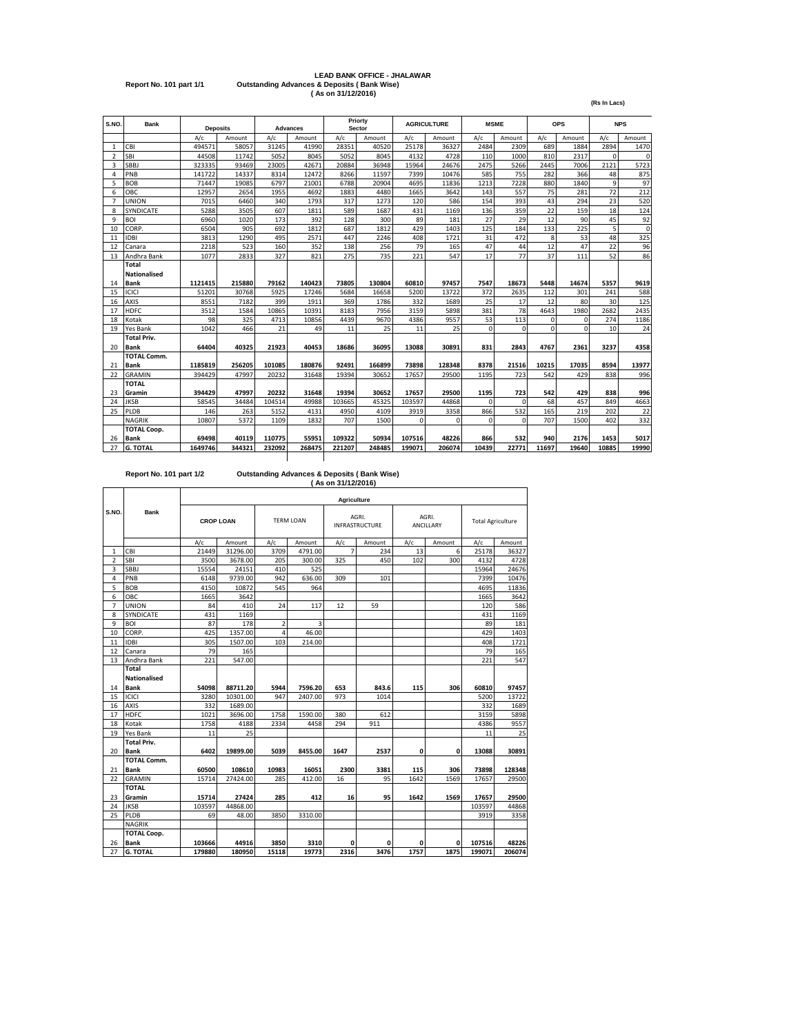# **LEAD BANK OFFICE - JHALAWAR Report No. 101 part 1/1 Outstanding Advances & Deposits ( Bank Wise) ( As on 31/12/2016)**

**(Rs In Lacs)**

| S.NO.          | <b>Bank</b>         | <b>Deposits</b> |        |        | <b>Advances</b> |        | Priorty<br>Sector |          | <b>AGRICULTURE</b> | <b>MSME</b> |          |          | <b>OPS</b> |              | <b>NPS</b>  |
|----------------|---------------------|-----------------|--------|--------|-----------------|--------|-------------------|----------|--------------------|-------------|----------|----------|------------|--------------|-------------|
|                |                     | A/c             | Amount | A/c    | Amount          | A/c    | Amount            | A/c      | Amount             | A/c         | Amount   | A/c      | Amount     | A/c          | Amount      |
| 1              | CBI                 | 494571          | 58057  | 31245  | 41990           | 28351  | 40520             | 25178    | 36327              | 2484        | 2309     | 689      | 1884       | 2894         | 1470        |
| $\overline{2}$ | <b>SBI</b>          | 44508           | 11742  | 5052   | 8045            | 5052   | 8045              | 4132     | 4728               | 110         | 1000     | 810      | 2317       | $\Omega$     | $\mathbf 0$ |
| 3              | <b>SBBJ</b>         | 323335          | 93469  | 23005  | 42671           | 20884  | 36948             | 15964    | 24676              | 2475        | 5266     | 2445     | 7006       | 2121         | 5723        |
| $\overline{a}$ | PNB                 | 141722          | 14337  | 8314   | 12472           | 8266   | 11597             | 7399     | 10476              | 585         | 755      | 282      | 366        | 48           | 875         |
| 5              | <b>BOB</b>          | 71447           | 19085  | 6797   | 21001           | 6788   | 20904             | 4695     | 11836              | 1213        | 7228     | 880      | 1840       | $\mathbf{q}$ | 97          |
| 6              | OBC                 | 12957           | 2654   | 1955   | 4692            | 1883   | 4480              | 1665     | 3642               | 143         | 557      | 75       | 281        | 72           | 212         |
| $\overline{7}$ | <b>UNION</b>        | 7015            | 6460   | 340    | 1793            | 317    | 1273              | 120      | 586                | 154         | 393      | 43       | 294        | 23           | 520         |
| 8              | SYNDICATE           | 5288            | 3505   | 607    | 1811            | 589    | 1687              | 431      | 1169               | 136         | 359      | 22       | 159        | 18           | 124         |
| 9              | <b>BOI</b>          | 6960            | 1020   | 173    | 392             | 128    | 300               | 89       | 181                | 27          | 29       | 12       | 90         | 45           | 92          |
| 10             | CORP.               | 6504            | 905    | 692    | 1812            | 687    | 1812              | 429      | 1403               | 125         | 184      | 133      | 225        | 5            | $\mathbf 0$ |
| 11             | <b>IDBI</b>         | 3813            | 1290   | 495    | 2571            | 447    | 2246              | 408      | 1721               | 31          | 472      | 8        | 53         | 48           | 325         |
| 12             | Canara              | 2218            | 523    | 160    | 352             | 138    | 256               | 79       | 165                | 47          | 44       | 12       | 47         | 22           | 96          |
| 13             | Andhra Bank         | 1077            | 2833   | 327    | 821             | 275    | 735               | 221      | 547                | 17          | 77       | 37       | 111        | 52           | 86          |
|                | Total               |                 |        |        |                 |        |                   |          |                    |             |          |          |            |              |             |
|                | <b>Nationalised</b> |                 |        |        |                 |        |                   |          |                    |             |          |          |            |              |             |
| 14             | <b>Bank</b>         | 1121415         | 215880 | 79162  | 140423          | 73805  | 130804            | 60810    | 97457              | 7547        | 18673    | 5448     | 14674      | 5357         | 9619        |
| 15             | ICICI               | 51201           | 30768  | 5925   | 17246           | 5684   | 16658             | 5200     | 13722              | 372         | 2635     | 112      | 301        | 241          | 588         |
| 16             | <b>AXIS</b>         | 8551            | 7182   | 399    | 1911            | 369    | 1786              | 332      | 1689               | 25          | 17       | 12       | 80         | 30           | 125         |
| 17             | <b>HDFC</b>         | 3512            | 1584   | 10865  | 10391           | 8183   | 7956              | 3159     | 5898               | 381         | 78       | 4643     | 1980       | 2682         | 2435        |
| 18             | Kotak               | 98              | 325    | 4713   | 10856           | 4439   | 9670              | 4386     | 9557               | 53          | 113      | $\Omega$ | $\Omega$   | 274          | 1186        |
| 19             | Yes Bank            | 1042            | 466    | 21     | 49              | 11     | 25                | 11       | 25                 | $\Omega$    | $\Omega$ | $\Omega$ | $\Omega$   | 10           | 24          |
|                | <b>Total Priv.</b>  |                 |        |        |                 |        |                   |          |                    |             |          |          |            |              |             |
| 20             | <b>Bank</b>         | 64404           | 40325  | 21923  | 40453           | 18686  | 36095             | 13088    | 30891              | 831         | 2843     | 4767     | 2361       | 3237         | 4358        |
|                | <b>TOTAL Comm.</b>  |                 |        |        |                 |        |                   |          |                    |             |          |          |            |              |             |
| 21             | <b>Bank</b>         | 1185819         | 256205 | 101085 | 180876          | 92491  | 166899            | 73898    | 128348             | 8378        | 21516    | 10215    | 17035      | 8594         | 13977       |
| 22             | <b>GRAMIN</b>       | 394429          | 47997  | 20232  | 31648           | 19394  | 30652             | 17657    | 29500              | 1195        | 723      | 542      | 429        | 838          | 996         |
|                | <b>TOTAL</b>        |                 |        |        |                 |        |                   |          |                    |             |          |          |            |              |             |
| 23             | Gramin              | 394429          | 47997  | 20232  | 31648           | 19394  | 30652             | 17657    | 29500              | 1195        | 723      | 542      | 429        | 838          | 996         |
| 24             | <b>JKSB</b>         | 58545           | 34484  | 104514 | 49988           | 103665 | 45325             | 103597   | 44868              | $\Omega$    | $\Omega$ | 68       | 457        | 849          | 4663        |
| 25             | <b>PLDB</b>         | 146             | 263    | 5152   | 4131            | 4950   | 4109              | 3919     | 3358               | 866         | 532      | 165      | 219        | 202          | 22          |
|                | <b>NAGRIK</b>       | 10807           | 5372   | 1109   | 1832            | 707    | 1500              | $\Omega$ | $\Omega$           | $\Omega$    | $\Omega$ | 707      | 1500       | 402          | 332         |
|                | <b>TOTAL Coop.</b>  |                 |        |        |                 |        |                   |          |                    |             |          |          |            |              |             |
| 26             | <b>Bank</b>         | 69498           | 40119  | 110775 | 55951           | 109322 | 50934             | 107516   | 48226              | 866         | 532      | 940      | 2176       | 1453         | 5017        |
| 27             | <b>G. TOTAL</b>     | 1649746         | 344321 | 232092 | 268475          | 221207 | 248485            | 199071   | 206074             | 10439       | 22771    | 11697    | 19640      | 10885        | 19990       |

## **Report No. 101 part 1/2 Outstanding Advances & Deposits ( Bank Wise) ( As on 31/12/2016)**

|                |                     | <b>Agriculture</b> |          |                |         |      |                                |      |                           |                          |        |  |  |  |
|----------------|---------------------|--------------------|----------|----------------|---------|------|--------------------------------|------|---------------------------|--------------------------|--------|--|--|--|
| S.NO.          | <b>Bank</b>         | <b>CROP LOAN</b>   |          | TFRM LOAN      |         |      | AGRI.<br><b>INFRASTRUCTURE</b> |      | AGRI.<br><b>ANCILLARY</b> | <b>Total Agriculture</b> |        |  |  |  |
|                |                     | A/c                | Amount   | A/c            | Amount  | A/c  | Amount                         | A/c  | Amount                    | A/c                      | Amount |  |  |  |
| $\mathbf{1}$   | CBI                 | 21449              | 31296.00 | 3709           | 4791.00 | 7    | 234                            | 13   | 6                         | 25178                    | 36327  |  |  |  |
| $\overline{2}$ | SBI                 | 3500               | 3678.00  | 205            | 300.00  | 325  | 450                            | 102  | 300                       | 4132                     | 4728   |  |  |  |
| 3              | SBBJ                | 15554              | 24151    | 410            | 525     |      |                                |      |                           | 15964                    | 24676  |  |  |  |
| 4              | PNB                 | 6148               | 9739.00  | 942            | 636.00  | 309  | 101                            |      |                           | 7399                     | 10476  |  |  |  |
| 5              | <b>BOB</b>          | 4150               | 10872    | 545            | 964     |      |                                |      |                           | 4695                     | 11836  |  |  |  |
| 6              | OBC                 | 1665               | 3642     |                |         |      |                                |      |                           | 1665                     | 3642   |  |  |  |
| 7              | <b>UNION</b>        | 84                 | 410      | 24             | 117     | 12   | 59                             |      |                           | 120                      | 586    |  |  |  |
| 8              | SYNDICATE           | 431                | 1169     |                |         |      |                                |      |                           | 431                      | 1169   |  |  |  |
| 9              | <b>BOI</b>          | 87                 | 178      | $\overline{2}$ | 3       |      |                                |      |                           | 89                       | 181    |  |  |  |
| 10             | CORP.               | 425                | 1357.00  | 4              | 46.00   |      |                                |      |                           | 429                      | 1403   |  |  |  |
| 11             | <b>IDBI</b>         | 305                | 1507.00  | 103            | 214.00  |      |                                |      |                           | 408                      | 1721   |  |  |  |
| 12             | Canara              | 79                 | 165      |                |         |      |                                |      |                           | 79                       | 165    |  |  |  |
| 13             | Andhra Bank         | 221                | 547.00   |                |         |      |                                |      |                           | 221                      | 547    |  |  |  |
|                | Total               |                    |          |                |         |      |                                |      |                           |                          |        |  |  |  |
|                | <b>Nationalised</b> |                    |          |                |         |      |                                |      |                           |                          |        |  |  |  |
| 14             | <b>Bank</b>         | 54098              | 88711.20 | 5944           | 7596.20 | 653  | 843.6                          | 115  | 306                       | 60810                    | 97457  |  |  |  |
| 15             | ICICI               | 3280               | 10301.00 | 947            | 2407.00 | 973  | 1014                           |      |                           | 5200                     | 13722  |  |  |  |
| 16             | AXIS                | 332                | 1689.00  |                |         |      |                                |      |                           | 332                      | 1689   |  |  |  |
| 17             | <b>HDFC</b>         | 1021               | 3696.00  | 1758           | 1590.00 | 380  | 612                            |      |                           | 3159                     | 5898   |  |  |  |
| 18             | Kotak               | 1758               | 4188     | 2334           | 4458    | 294  | 911                            |      |                           | 4386                     | 9557   |  |  |  |
| 19             | Yes Bank            | 11                 | 25       |                |         |      |                                |      |                           | 11                       | 25     |  |  |  |
|                | <b>Total Priv.</b>  |                    |          |                |         |      |                                |      |                           |                          |        |  |  |  |
| 20             | <b>Bank</b>         | 6402               | 19899.00 | 5039           | 8455.00 | 1647 | 2537                           | 0    | 0                         | 13088                    | 30891  |  |  |  |
|                | <b>TOTAL Comm.</b>  |                    |          |                |         |      |                                |      |                           |                          |        |  |  |  |
| 21             | <b>Bank</b>         | 60500              | 108610   | 10983          | 16051   | 2300 | 3381                           | 115  | 306                       | 73898                    | 128348 |  |  |  |
| 22             | GRAMIN              | 15714              | 27424.00 | 285            | 412.00  | 16   | 95                             | 1642 | 1569                      | 17657                    | 29500  |  |  |  |
|                | <b>TOTAL</b>        |                    |          |                |         |      |                                |      |                           |                          |        |  |  |  |
| 23             | Gramin              | 15714              | 27424    | 285            | 412     | 16   | 95                             | 1642 | 1569                      | 17657                    | 29500  |  |  |  |
| 24             | <b>JKSB</b>         | 103597             | 44868.00 |                |         |      |                                |      |                           | 103597                   | 44868  |  |  |  |
| 25             | PLDB                | 69                 | 48.00    | 3850           | 3310.00 |      |                                |      |                           | 3919                     | 3358   |  |  |  |
|                | <b>NAGRIK</b>       |                    |          |                |         |      |                                |      |                           |                          |        |  |  |  |
|                | <b>TOTAL Coop.</b>  |                    |          |                |         |      |                                |      |                           |                          |        |  |  |  |
| 26             | <b>Bank</b>         | 103666             | 44916    | 3850           | 3310    | 0    | 0                              | 0    | 0                         | 107516                   | 48226  |  |  |  |
| 27             | <b>G. TOTAL</b>     | 179880             | 180950   | 15118          | 19773   | 2316 | 3476                           | 1757 | 1875                      | 199071                   | 206074 |  |  |  |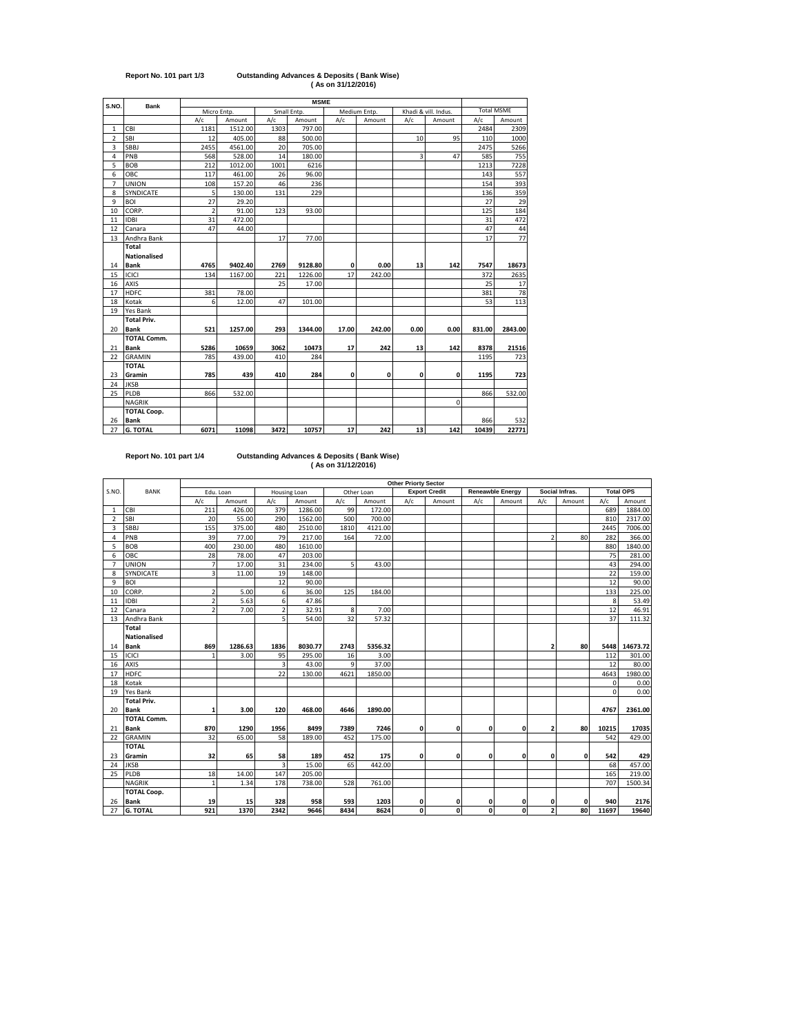# **Report No. 101 part 1/3 Outstanding Advances & Deposits ( Bank Wise) ( As on 31/12/2016)**

| S.NO.<br>Bank<br>Micro Entp.<br>Small Entp.<br>Medium Entp.<br>Khadi & vill. Indus.<br>A/c<br>Amount<br>A/c<br>Amount<br>A/c<br>A/c<br>A/c<br>Amount<br>Amount<br>1181<br>1512.00<br>1303<br>797.00<br>2484<br>CBI<br>$\mathbf{1}$<br><b>SBI</b><br>405.00<br>$\overline{2}$<br>12<br>88<br>500.00<br>95<br>10<br>110<br>4561.00<br>20<br>3<br><b>SBBJ</b><br>2455<br>705.00<br>2475<br>3<br>PNB<br>528.00<br>14<br>47<br>585<br>4<br>568<br>180.00<br>5<br>1012.00<br><b>BOB</b><br>212<br>1001<br>6216<br>1213 | <b>Total MSME</b><br>Amount<br>2309<br>1000<br>5266<br>755<br>7228<br>557<br>393<br>359<br>29<br>184<br>472 |
|------------------------------------------------------------------------------------------------------------------------------------------------------------------------------------------------------------------------------------------------------------------------------------------------------------------------------------------------------------------------------------------------------------------------------------------------------------------------------------------------------------------|-------------------------------------------------------------------------------------------------------------|
|                                                                                                                                                                                                                                                                                                                                                                                                                                                                                                                  |                                                                                                             |
|                                                                                                                                                                                                                                                                                                                                                                                                                                                                                                                  |                                                                                                             |
|                                                                                                                                                                                                                                                                                                                                                                                                                                                                                                                  |                                                                                                             |
|                                                                                                                                                                                                                                                                                                                                                                                                                                                                                                                  |                                                                                                             |
|                                                                                                                                                                                                                                                                                                                                                                                                                                                                                                                  |                                                                                                             |
|                                                                                                                                                                                                                                                                                                                                                                                                                                                                                                                  |                                                                                                             |
|                                                                                                                                                                                                                                                                                                                                                                                                                                                                                                                  |                                                                                                             |
| 6<br>OBC<br>96.00<br>117<br>461.00<br>26<br>143                                                                                                                                                                                                                                                                                                                                                                                                                                                                  |                                                                                                             |
| $\overline{7}$<br><b>UNION</b><br>157.20<br>46<br>236<br>154<br>108                                                                                                                                                                                                                                                                                                                                                                                                                                              |                                                                                                             |
| 5<br>229<br>8<br>130.00<br>131<br>136<br>SYNDICATE                                                                                                                                                                                                                                                                                                                                                                                                                                                               |                                                                                                             |
| $\overline{27}$<br>9<br>29.20<br>27<br><b>BOI</b>                                                                                                                                                                                                                                                                                                                                                                                                                                                                |                                                                                                             |
| $\overline{2}$<br>CORP.<br>91.00<br>123<br>125<br>10<br>93.00                                                                                                                                                                                                                                                                                                                                                                                                                                                    |                                                                                                             |
| 31<br>11<br><b>IDBI</b><br>472.00<br>31                                                                                                                                                                                                                                                                                                                                                                                                                                                                          |                                                                                                             |
| 47<br>12<br>47<br>44.00<br>Canara                                                                                                                                                                                                                                                                                                                                                                                                                                                                                | 44                                                                                                          |
| 17<br>13<br>Andhra Bank<br>17<br>77.00                                                                                                                                                                                                                                                                                                                                                                                                                                                                           | 77                                                                                                          |
| Total                                                                                                                                                                                                                                                                                                                                                                                                                                                                                                            |                                                                                                             |
| <b>Nationalised</b>                                                                                                                                                                                                                                                                                                                                                                                                                                                                                              |                                                                                                             |
| <b>Bank</b><br>4765<br>9402.40<br>2769<br>9128.80<br>0.00<br>13<br>142<br>7547<br>14<br>0                                                                                                                                                                                                                                                                                                                                                                                                                        | 18673                                                                                                       |
| ICICI<br>1226.00<br>17<br>242.00<br>372<br>15<br>134<br>1167.00<br>221                                                                                                                                                                                                                                                                                                                                                                                                                                           | 2635                                                                                                        |
| 25<br>16<br><b>AXIS</b><br>25<br>17.00                                                                                                                                                                                                                                                                                                                                                                                                                                                                           | 17                                                                                                          |
| <b>HDFC</b><br>381<br>78.00<br>381<br>17                                                                                                                                                                                                                                                                                                                                                                                                                                                                         | 78                                                                                                          |
| 6<br>47<br>53<br>18<br>Kotak<br>12.00<br>101.00                                                                                                                                                                                                                                                                                                                                                                                                                                                                  | 113                                                                                                         |
| 19<br>Yes Bank                                                                                                                                                                                                                                                                                                                                                                                                                                                                                                   |                                                                                                             |
| <b>Total Priv.</b>                                                                                                                                                                                                                                                                                                                                                                                                                                                                                               |                                                                                                             |
| <b>Bank</b><br>521<br>293<br>0.00<br>20<br>1257.00<br>1344.00<br>17.00<br>242.00<br>0.00<br>831.00                                                                                                                                                                                                                                                                                                                                                                                                               | 2843.00                                                                                                     |
| <b>TOTAL Comm.</b>                                                                                                                                                                                                                                                                                                                                                                                                                                                                                               |                                                                                                             |
| <b>Bank</b><br>3062<br>10473<br>242<br>8378<br>21<br>5286<br>10659<br>17<br>13<br>142                                                                                                                                                                                                                                                                                                                                                                                                                            | 21516                                                                                                       |
| <b>GRAMIN</b><br>22<br>785<br>439.00<br>410<br>284<br>1195                                                                                                                                                                                                                                                                                                                                                                                                                                                       | 723                                                                                                         |
| <b>TOTAL</b>                                                                                                                                                                                                                                                                                                                                                                                                                                                                                                     |                                                                                                             |
| Gramin<br>785<br>439<br>410<br>284<br>0<br>0<br>0<br>23<br>0<br>1195                                                                                                                                                                                                                                                                                                                                                                                                                                             | 723                                                                                                         |
| <b>JKSB</b><br>24                                                                                                                                                                                                                                                                                                                                                                                                                                                                                                |                                                                                                             |
| 25<br>PLDB<br>866<br>532.00<br>866                                                                                                                                                                                                                                                                                                                                                                                                                                                                               | 532.00                                                                                                      |
| <b>NAGRIK</b><br>0                                                                                                                                                                                                                                                                                                                                                                                                                                                                                               |                                                                                                             |
| <b>TOTAL Coop.</b>                                                                                                                                                                                                                                                                                                                                                                                                                                                                                               |                                                                                                             |
| <b>Bank</b><br>866<br>26                                                                                                                                                                                                                                                                                                                                                                                                                                                                                         | 532                                                                                                         |
| 17<br>242<br>13<br>27<br><b>G. TOTAL</b><br>6071<br>11098<br>3472<br>10757<br>142<br>10439                                                                                                                                                                                                                                                                                                                                                                                                                       | 22771                                                                                                       |

'n

### **Report No. 101 part 1/4 Outstanding Advances & Deposits ( Bank Wise) ( As on 31/12/2016)**

|                |                     | <b>Other Priorty Sector</b> |           |                |              |      |            |     |                      |     |                         |                         |                |          |                  |
|----------------|---------------------|-----------------------------|-----------|----------------|--------------|------|------------|-----|----------------------|-----|-------------------------|-------------------------|----------------|----------|------------------|
| S.NO.          | <b>BANK</b>         |                             | Edu. Loan |                | Housing Loan |      | Other Loan |     | <b>Export Credit</b> |     | <b>Reneawble Energy</b> |                         | Social Infras. |          | <b>Total OPS</b> |
|                |                     | A/c                         | Amount    | A/c            | Amount       | A/c  | Amount     | A/c | Amount               | A/c | Amount                  | A/c                     | Amount         | A/c      | Amount           |
| $\mathbf{1}$   | CBI                 | 211                         | 426.00    | 379            | 1286.00      | 99   | 172.00     |     |                      |     |                         |                         |                | 689      | 1884.00          |
| $\overline{2}$ | <b>SBI</b>          | 20                          | 55.00     | 290            | 1562.00      | 500  | 700.00     |     |                      |     |                         |                         |                | 810      | 2317.00          |
| $\overline{3}$ | <b>SBBJ</b>         | 155                         | 375.00    | 480            | 2510.00      | 1810 | 4121.00    |     |                      |     |                         |                         |                | 2445     | 7006.00          |
| 4              | PNB                 | 39                          | 77.00     | 79             | 217.00       | 164  | 72.00      |     |                      |     |                         | $\overline{2}$          | 80             | 282      | 366.00           |
| 5              | <b>BOB</b>          | 400                         | 230.00    | 480            | 1610.00      |      |            |     |                      |     |                         |                         |                | 880      | 1840.00          |
| 6              | OBC                 | 28                          | 78.00     | 47             | 203.00       |      |            |     |                      |     |                         |                         |                | 75       | 281.00           |
| $\overline{7}$ | <b>UNION</b>        | $\overline{7}$              | 17.00     | 31             | 234.00       | 5.   | 43.00      |     |                      |     |                         |                         |                | 43       | 294.00           |
| 8              | SYNDICATE           | 3                           | 11.00     | 19             | 148.00       |      |            |     |                      |     |                         |                         |                | 22       | 159.00           |
| 9              | <b>BOI</b>          |                             |           | 12             | 90.00        |      |            |     |                      |     |                         |                         |                | 12       | 90.00            |
| 10             | CORP.               | $\overline{2}$              | 5.00      | 6              | 36.00        | 125  | 184.00     |     |                      |     |                         |                         |                | 133      | 225.00           |
| 11             | <b>IDBI</b>         | $\overline{\phantom{a}}$    | 5.63      | 6              | 47.86        |      |            |     |                      |     |                         |                         |                | 8        | 53.49            |
| 12             | Canara              | $\overline{\phantom{a}}$    | 7.00      | $\overline{2}$ | 32.91        | 8    | 7.00       |     |                      |     |                         |                         |                | 12       | 46.91            |
| 13             | Andhra Bank         |                             |           | 5              | 54.00        | 32   | 57.32      |     |                      |     |                         |                         |                | 37       | 111.32           |
|                | <b>Total</b>        |                             |           |                |              |      |            |     |                      |     |                         |                         |                |          |                  |
|                | <b>Nationalised</b> |                             |           |                |              |      |            |     |                      |     |                         |                         |                |          |                  |
| 14             | <b>Bank</b>         | 869                         | 1286.63   | 1836           | 8030.77      | 2743 | 5356.32    |     |                      |     |                         | $\overline{\mathbf{2}}$ | 80             | 5448     | 14673.72         |
| 15             | ICICI               | 1                           | 3.00      | 95             | 295.00       | 16   | 3.00       |     |                      |     |                         |                         |                | 112      | 301.00           |
| 16             | <b>AXIS</b>         |                             |           | 3              | 43.00        | 9    | 37.00      |     |                      |     |                         |                         |                | 12       | 80.00            |
| 17             | <b>HDFC</b>         |                             |           | 22             | 130.00       | 4621 | 1850.00    |     |                      |     |                         |                         |                | 4643     | 1980.00          |
| 18             | Kotak               |                             |           |                |              |      |            |     |                      |     |                         |                         |                | $\Omega$ | 0.00             |
| 19             | <b>Yes Bank</b>     |                             |           |                |              |      |            |     |                      |     |                         |                         |                | $\Omega$ | 0.00             |
|                | <b>Total Priv.</b>  |                             |           |                |              |      |            |     |                      |     |                         |                         |                |          |                  |
| 20             | <b>Bank</b>         | $\mathbf{1}$                | 3.00      | 120            | 468.00       | 4646 | 1890.00    |     |                      |     |                         |                         |                | 4767     | 2361.00          |
|                | <b>TOTAL Comm.</b>  |                             |           |                |              |      |            |     |                      |     |                         |                         |                |          |                  |
| 21             | <b>Bank</b>         | 870                         | 1290      | 1956           | 8499         | 7389 | 7246       | 0   | 0                    | 0   | 0                       | 2                       | 80             | 10215    | 17035            |
| 22             | <b>GRAMIN</b>       | 32                          | 65.00     | 58             | 189.00       | 452  | 175.00     |     |                      |     |                         |                         |                | 542      | 429.00           |
|                | <b>TOTAL</b>        |                             |           |                |              |      |            |     |                      |     |                         |                         |                |          |                  |
| 23             | Gramin              | 32                          | 65        | 58             | 189          | 452  | 175        | 0   | 0                    | 0   | 0                       | $\mathbf{0}$            | $\mathbf{0}$   | 542      | 429              |
| 24             | <b>JKSB</b>         |                             |           | $\overline{3}$ | 15.00        | 65   | 442.00     |     |                      |     |                         |                         |                | 68       | 457.00           |
| 25             | PLDB                | 18                          | 14.00     | 147            | 205.00       |      |            |     |                      |     |                         |                         |                | 165      | 219.00           |
|                | <b>NAGRIK</b>       | $\mathbf{1}$                | 1.34      | 178            | 738.00       | 528  | 761.00     |     |                      |     |                         |                         |                | 707      | 1500.34          |
|                | <b>TOTAL Coop.</b>  |                             |           |                |              |      |            |     |                      |     |                         |                         |                |          |                  |
| 26             | <b>Bank</b>         | 19                          | 15        | 328            | 958          | 593  | 1203       | 0   | 0                    | 0   | 0                       | $\mathbf 0$             | 0              | 940      | 2176             |
| 27             | <b>G. TOTAL</b>     | 921                         | 1370      | 2342           | 9646         | 8434 | 8624       | O   | 0                    | 0   | $\mathbf 0$             | $\mathbf{2}$            | 80             | 11697    | 19640            |